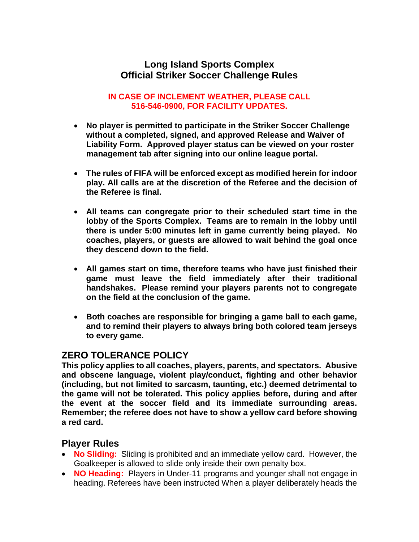#### **Long Island Sports Complex Official Striker Soccer Challenge Rules**

#### **IN CASE OF INCLEMENT WEATHER, PLEASE CALL 516-546-0900, FOR FACILITY UPDATES.**

- **No player is permitted to participate in the Striker Soccer Challenge without a completed, signed, and approved Release and Waiver of Liability Form. Approved player status can be viewed on your roster management tab after signing into our online league portal.**
- **The rules of FIFA will be enforced except as modified herein for indoor play. All calls are at the discretion of the Referee and the decision of the Referee is final.**
- **All teams can congregate prior to their scheduled start time in the lobby of the Sports Complex. Teams are to remain in the lobby until there is under 5:00 minutes left in game currently being played. No coaches, players, or guests are allowed to wait behind the goal once they descend down to the field.**
- **All games start on time, therefore teams who have just finished their game must leave the field immediately after their traditional handshakes. Please remind your players parents not to congregate on the field at the conclusion of the game.**
- **Both coaches are responsible for bringing a game ball to each game, and to remind their players to always bring both colored team jerseys to every game.**

### **ZERO TOLERANCE POLICY**

**This policy applies to all coaches, players, parents, and spectators. Abusive and obscene language, violent play/conduct, fighting and other behavior (including, but not limited to sarcasm, taunting, etc.) deemed detrimental to the game will not be tolerated. This policy applies before, during and after the event at the soccer field and its immediate surrounding areas. Remember; the referee does not have to show a yellow card before showing a red card.**

#### **Player Rules**

- **No Sliding:** Sliding is prohibited and an immediate yellow card. However, the Goalkeeper is allowed to slide only inside their own penalty box.
- **NO Heading:** Players in Under-11 programs and younger shall not engage in heading. Referees have been instructed When a player deliberately heads the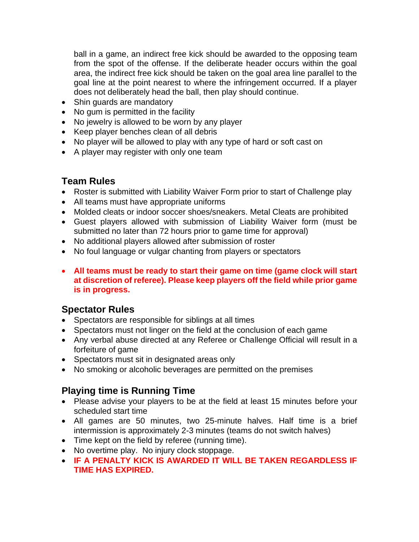ball in a game, an indirect free kick should be awarded to the opposing team from the spot of the offense. If the deliberate header occurs within the goal area, the indirect free kick should be taken on the goal area line parallel to the goal line at the point nearest to where the infringement occurred. If a player does not deliberately head the ball, then play should continue.

- Shin guards are mandatory
- No gum is permitted in the facility
- No jewelry is allowed to be worn by any player
- Keep player benches clean of all debris
- No player will be allowed to play with any type of hard or soft cast on
- A player may register with only one team

#### **Team Rules**

- Roster is submitted with Liability Waiver Form prior to start of Challenge play
- All teams must have appropriate uniforms
- Molded cleats or indoor soccer shoes/sneakers. Metal Cleats are prohibited
- Guest players allowed with submission of Liability Waiver form (must be submitted no later than 72 hours prior to game time for approval)
- No additional players allowed after submission of roster
- No foul language or vulgar chanting from players or spectators
- **All teams must be ready to start their game on time (game clock will start at discretion of referee). Please keep players off the field while prior game is in progress.**

### **Spectator Rules**

- Spectators are responsible for siblings at all times
- Spectators must not linger on the field at the conclusion of each game
- Any verbal abuse directed at any Referee or Challenge Official will result in a forfeiture of game
- Spectators must sit in designated areas only
- No smoking or alcoholic beverages are permitted on the premises

### **Playing time is Running Time**

- Please advise your players to be at the field at least 15 minutes before your scheduled start time
- All games are 50 minutes, two 25-minute halves. Half time is a brief intermission is approximately 2-3 minutes (teams do not switch halves)
- Time kept on the field by referee (running time).
- No overtime play. No injury clock stoppage.
- **IF A PENALTY KICK IS AWARDED IT WILL BE TAKEN REGARDLESS IF TIME HAS EXPIRED.**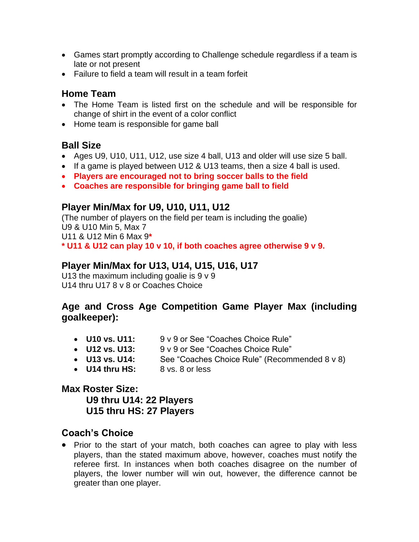- Games start promptly according to Challenge schedule regardless if a team is late or not present
- Failure to field a team will result in a team forfeit

### **Home Team**

- The Home Team is listed first on the schedule and will be responsible for change of shirt in the event of a color conflict
- Home team is responsible for game ball

### **Ball Size**

- Ages U9, U10, U11, U12, use size 4 ball, U13 and older will use size 5 ball.
- If a game is played between U12 & U13 teams, then a size 4 ball is used.
- **Players are encouraged not to bring soccer balls to the field**
- **Coaches are responsible for bringing game ball to field**

### **Player Min/Max for U9, U10, U11, U12**

(The number of players on the field per team is including the goalie) U9 & U10 Min 5, Max 7 U11 & U12 Min 6 Max 9**\* \* U11 & U12 can play 10 v 10, if both coaches agree otherwise 9 v 9.**

### **Player Min/Max for U13, U14, U15, U16, U17**

U13 the maximum including goalie is  $9 \vee 9$ U14 thru U17 8 v 8 or Coaches Choice

### **Age and Cross Age Competition Game Player Max (including goalkeeper):**

- 
- **U10 vs. U11:** 9 v 9 or See "Coaches Choice Rule"<br>• **U12 vs. U13:** 9 v 9 or See "Coaches Choice Rule" • **U12 vs. U13:** 9 v 9 or See "Coaches Choice Rule"
- **U13 vs. U14:** See "Coaches Choice Rule" (Recommended 8 v 8)
- **U14 thru HS:** 8 vs. 8 or less

# **Max Roster Size:**

**U9 thru U14: 22 Players U15 thru HS: 27 Players**

### **Coach's Choice**

• Prior to the start of your match, both coaches can agree to play with less players, than the stated maximum above, however, coaches must notify the referee first. In instances when both coaches disagree on the number of players, the lower number will win out, however, the difference cannot be greater than one player.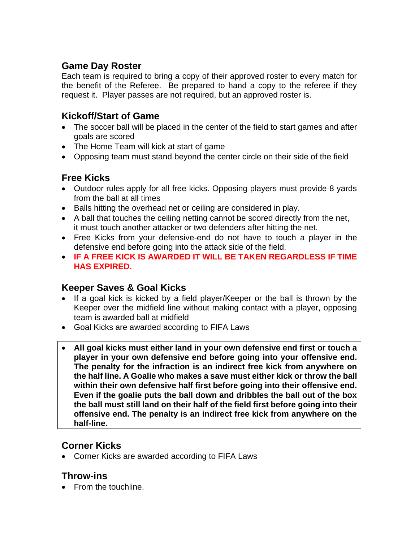### **Game Day Roster**

Each team is required to bring a copy of their approved roster to every match for the benefit of the Referee. Be prepared to hand a copy to the referee if they request it. Player passes are not required, but an approved roster is.

### **Kickoff/Start of Game**

- The soccer ball will be placed in the center of the field to start games and after goals are scored
- The Home Team will kick at start of game
- Opposing team must stand beyond the center circle on their side of the field

# **Free Kicks**

- Outdoor rules apply for all free kicks. Opposing players must provide 8 yards from the ball at all times
- Balls hitting the overhead net or ceiling are considered in play.
- A ball that touches the ceiling netting cannot be scored directly from the net, it must touch another attacker or two defenders after hitting the net.
- Free Kicks from your defensive-end do not have to touch a player in the defensive end before going into the attack side of the field.
- **IF A FREE KICK IS AWARDED IT WILL BE TAKEN REGARDLESS IF TIME HAS EXPIRED.**

# **Keeper Saves & Goal Kicks**

- If a goal kick is kicked by a field player/Keeper or the ball is thrown by the Keeper over the midfield line without making contact with a player, opposing team is awarded ball at midfield
- Goal Kicks are awarded according to FIFA Laws
- **All goal kicks must either land in your own defensive end first or touch a player in your own defensive end before going into your offensive end. The penalty for the infraction is an indirect free kick from anywhere on the half line. A Goalie who makes a save must either kick or throw the ball within their own defensive half first before going into their offensive end. Even if the goalie puts the ball down and dribbles the ball out of the box the ball must still land on their half of the field first before going into their offensive end. The penalty is an indirect free kick from anywhere on the half-line.**

# **Corner Kicks**

• Corner Kicks are awarded according to FIFA Laws

### **Throw-ins**

• From the touchline.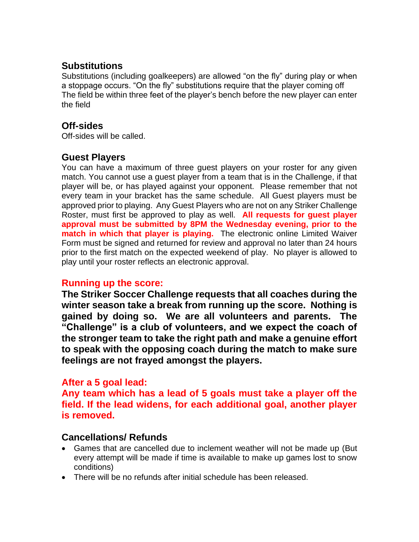### **Substitutions**

Substitutions (including goalkeepers) are allowed "on the fly" during play or when a stoppage occurs. "On the fly" substitutions require that the player coming off The field be within three feet of the player's bench before the new player can enter the field

### **Off-sides**

Off-sides will be called.

### **Guest Players**

You can have a maximum of three guest players on your roster for any given match. You cannot use a guest player from a team that is in the Challenge, if that player will be, or has played against your opponent. Please remember that not every team in your bracket has the same schedule. All Guest players must be approved prior to playing. Any Guest Players who are not on any Striker Challenge Roster, must first be approved to play as well. **All requests for guest player approval must be submitted by 8PM the Wednesday evening, prior to the match in which that player is playing.** The electronic online Limited Waiver Form must be signed and returned for review and approval no later than 24 hours prior to the first match on the expected weekend of play. No player is allowed to play until your roster reflects an electronic approval.

#### **Running up the score:**

**The Striker Soccer Challenge requests that all coaches during the winter season take a break from running up the score. Nothing is gained by doing so. We are all volunteers and parents. The "Challenge" is a club of volunteers, and we expect the coach of the stronger team to take the right path and make a genuine effort to speak with the opposing coach during the match to make sure feelings are not frayed amongst the players.** 

### **After a 5 goal lead:**

**Any team which has a lead of 5 goals must take a player off the field. If the lead widens, for each additional goal, another player is removed.** 

### **Cancellations/ Refunds**

- Games that are cancelled due to inclement weather will not be made up (But every attempt will be made if time is available to make up games lost to snow conditions)
- There will be no refunds after initial schedule has been released.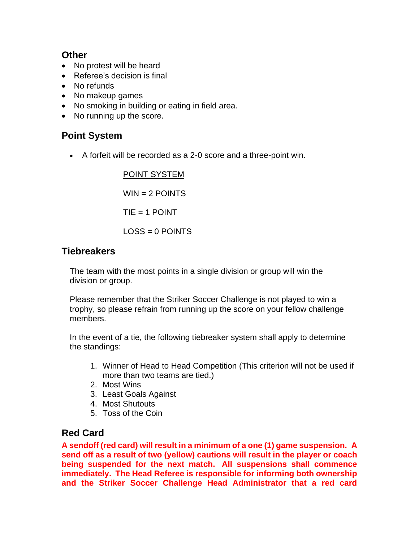### **Other**

- No protest will be heard
- Referee's decision is final
- No refunds
- No makeup games
- No smoking in building or eating in field area.
- No running up the score.

# **Point System**

• A forfeit will be recorded as a 2-0 score and a three-point win.

POINT SYSTEM  $WIN = 2$  POINTS  $TIF = 1$  POINT  $LOS = 0$  POINTS

### **Tiebreakers**

The team with the most points in a single division or group will win the division or group.

Please remember that the Striker Soccer Challenge is not played to win a trophy, so please refrain from running up the score on your fellow challenge members.

In the event of a tie, the following tiebreaker system shall apply to determine the standings:

- 1. Winner of Head to Head Competition (This criterion will not be used if more than two teams are tied.)
- 2. Most Wins
- 3. Least Goals Against
- 4. Most Shutouts
- 5. Toss of the Coin

### **Red Card**

**A sendoff (red card) will result in a minimum of a one (1) game suspension. A send off as a result of two (yellow) cautions will result in the player or coach being suspended for the next match. All suspensions shall commence immediately. The Head Referee is responsible for informing both ownership and the Striker Soccer Challenge Head Administrator that a red card**